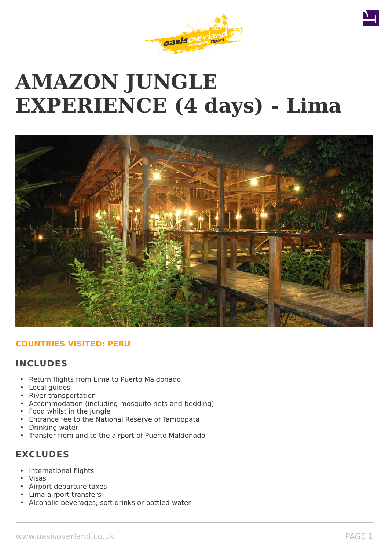# **AMAZON JUNGLE EXPERIENCE (4 days) - Lima**



# **COUNTRIES VISITED: PERU**

# **INCLUDES**

- Return flights from Lima to Puerto Maldonado
- Local guides
- River transportation
- Accommodation (including mosquito nets and bedding)
- Food whilst in the jungle
- Entrance fee to the National Reserve of Tambopata
- Drinking water
- Transfer from and to the airport of Puerto Maldonado

# **EXCLUDES**

- International flights
- Visas
- Airport departure taxes
- Lima airport transfers
- Alcoholic beverages, soft drinks or bottled water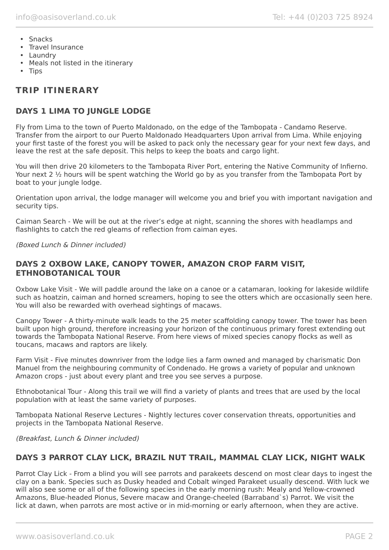- Snacks
- Travel Insurance
- Laundry
- Meals not listed in the itinerary
- Tips

# **TRIP ITINERARY**

# **DAYS 1 LIMA TO JUNGLE LODGE**

Fly from Lima to the town of Puerto Maldonado, on the edge of the Tambopata - Candamo Reserve. Transfer from the airport to our Puerto Maldonado Headquarters Upon arrival from Lima. While enjoying your first taste of the forest you will be asked to pack only the necessary gear for your next few days, and leave the rest at the safe deposit. This helps to keep the boats and cargo light.

You will then drive 20 kilometers to the Tambopata River Port, entering the Native Community of Infierno. Your next 2 ½ hours will be spent watching the World go by as you transfer from the Tambopata Port by boat to your jungle lodge.

Orientation upon arrival, the lodge manager will welcome you and brief you with important navigation and security tips.

Caiman Search - We will be out at the river's edge at night, scanning the shores with headlamps and flashlights to catch the red gleams of reflection from caiman eyes.

(Boxed Lunch & Dinner included)

# **DAYS 2 OXBOW LAKE, CANOPY TOWER, AMAZON CROP FARM VISIT, ETHNOBOTANICAL TOUR**

Oxbow Lake Visit - We will paddle around the lake on a canoe or a catamaran, looking for lakeside wildlife such as hoatzin, caiman and horned screamers, hoping to see the otters which are occasionally seen here. You will also be rewarded with overhead sightings of macaws.

Canopy Tower - A thirty-minute walk leads to the 25 meter scaffolding canopy tower. The tower has been built upon high ground, therefore increasing your horizon of the continuous primary forest extending out towards the Tambopata National Reserve. From here views of mixed species canopy flocks as well as toucans, macaws and raptors are likely.

Farm Visit - Five minutes downriver from the lodge lies a farm owned and managed by charismatic Don Manuel from the neighbouring community of Condenado. He grows a variety of popular and unknown Amazon crops - just about every plant and tree you see serves a purpose.

Ethnobotanical Tour - Along this trail we will find a variety of plants and trees that are used by the local population with at least the same variety of purposes.

Tambopata National Reserve Lectures - Nightly lectures cover conservation threats, opportunities and projects in the Tambopata National Reserve.

(Breakfast, Lunch & Dinner included)

# **DAYS 3 PARROT CLAY LICK, BRAZIL NUT TRAIL, MAMMAL CLAY LICK, NIGHT WALK**

Parrot Clay Lick - From a blind you will see parrots and parakeets descend on most clear days to ingest the clay on a bank. Species such as Dusky headed and Cobalt winged Parakeet usually descend. With luck we will also see some or all of the following species in the early morning rush: Mealy and Yellow-crowned Amazons, Blue-headed Pionus, Severe macaw and Orange-cheeled (Barraband`s) Parrot. We visit the lick at dawn, when parrots are most active or in mid-morning or early afternoon, when they are active.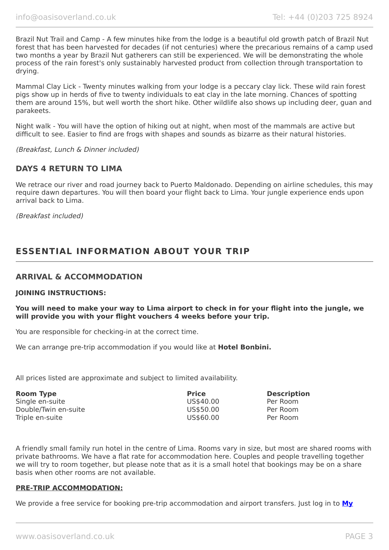Brazil Nut Trail and Camp - A few minutes hike from the lodge is a beautiful old growth patch of Brazil Nut forest that has been harvested for decades (if not centuries) where the precarious remains of a camp used two months a year by Brazil Nut gatherers can still be experienced. We will be demonstrating the whole process of the rain forest's only sustainably harvested product from collection through transportation to drying.

Mammal Clay Lick - Twenty minutes walking from your lodge is a peccary clay lick. These wild rain forest pigs show up in herds of five to twenty individuals to eat clay in the late morning. Chances of spotting them are around 15%, but well worth the short hike. Other wildlife also shows up including deer, guan and parakeets.

Night walk - You will have the option of hiking out at night, when most of the mammals are active but difficult to see. Easier to find are frogs with shapes and sounds as bizarre as their natural histories.

(Breakfast, Lunch & Dinner included)

## **DAYS 4 RETURN TO LIMA**

We retrace our river and road journey back to Puerto Maldonado. Depending on airline schedules, this may require dawn departures. You will then board your flight back to Lima. Your jungle experience ends upon arrival back to Lima.

(Breakfast included)

# **ESSENTIAL INFORMATION ABOUT YOUR TRIP**

## **ARRIVAL & ACCOMMODATION**

#### **JOINING INSTRUCTIONS:**

**You will need to make your way to Lima airport to check in for your flight into the jungle, we will provide you with your flight vouchers 4 weeks before your trip.**

You are responsible for checking-in at the correct time.

We can arrange pre-trip accommodation if you would like at **Hotel Bonbini.**

All prices listed are approximate and subject to limited availability.

| <b>Room Type</b>     | <b>Price</b> | <b>Description</b> |
|----------------------|--------------|--------------------|
| Single en-suite      | US\$40.00    | Per Room           |
| Double/Twin en-suite | US\$50.00    | Per Room           |
| Triple en-suite      | US\$60.00    | Per Room           |

A friendly small family run hotel in the centre of Lima. Rooms vary in size, but most are shared rooms with private bathrooms. We have a flat rate for accommodation here. Couples and people travelling together we will try to room together, but please note that as it is a small hotel that bookings may be on a share basis when other rooms are not available.

#### **PRE-TRIP ACCOMMODATION:**

We provide a free service for booking pre-trip accommodation and airport transfers. Just log in to **[My](https://oasisportal.eecsoftware.com/login.php)**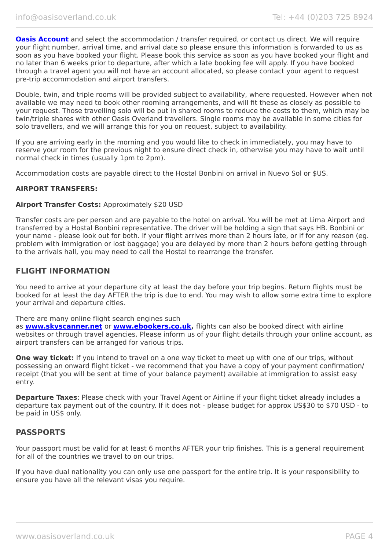**[Oasis Account](https://oasisportal.eecsoftware.com/login.php)** and select the accommodation / transfer required, or contact us direct. We will require your flight number, arrival time, and arrival date so please ensure this information is forwarded to us as soon as you have booked your flight. Please book this service as soon as you have booked your flight and no later than 6 weeks prior to departure, after which a late booking fee will apply. If you have booked through a travel agent you will not have an account allocated, so please contact your agent to request pre-trip accommodation and airport transfers.

Double, twin, and triple rooms will be provided subject to availability, where requested. However when not available we may need to book other rooming arrangements, and will fit these as closely as possible to your request. Those travelling solo will be put in shared rooms to reduce the costs to them, which may be twin/triple shares with other Oasis Overland travellers. Single rooms may be available in some cities for solo travellers, and we will arrange this for you on request, subject to availability.

If you are arriving early in the morning and you would like to check in immediately, you may have to reserve your room for the previous night to ensure direct check in, otherwise you may have to wait until normal check in times (usually 1pm to 2pm).

Accommodation costs are payable direct to the Hostal Bonbini on arrival in Nuevo Sol or \$US.

#### **AIRPORT TRANSFERS:**

#### **Airport Transfer Costs:** Approximately \$20 USD

Transfer costs are per person and are payable to the hotel on arrival. You will be met at Lima Airport and transferred by a Hostal Bonbini representative. The driver will be holding a sign that says HB. Bonbini or your name - please look out for both. If your flight arrives more than 2 hours late, or if for any reason (eg. problem with immigration or lost baggage) you are delayed by more than 2 hours before getting through to the arrivals hall, you may need to call the Hostal to rearrange the transfer.

## **FLIGHT INFORMATION**

You need to arrive at your departure city at least the day before your trip begins. Return flights must be booked for at least the day AFTER the trip is due to end. You may wish to allow some extra time to explore your arrival and departure cities.

There are many online flight search engines such

as **[www.skyscanner.net](http://www.dpbolvw.net/click-5720161-10639348)** or **[www.ebookers.co.uk,](http://www.ebookers.co.uk/)** flights can also be booked direct with airline websites or through travel agencies. Please inform us of your flight details through your online account, as airport transfers can be arranged for various trips.

**One way ticket:** If you intend to travel on a one way ticket to meet up with one of our trips, without possessing an onward flight ticket - we recommend that you have a copy of your payment confirmation/ receipt (that you will be sent at time of your balance payment) available at immigration to assist easy entry.

**Departure Taxes**: Please check with your Travel Agent or Airline if your flight ticket already includes a departure tax payment out of the country. If it does not - please budget for approx US\$30 to \$70 USD - to be paid in US\$ only.

## **PASSPORTS**

Your passport must be valid for at least 6 months AFTER your trip finishes. This is a general requirement for all of the countries we travel to on our trips.

If you have dual nationality you can only use one passport for the entire trip. It is your responsibility to ensure you have all the relevant visas you require.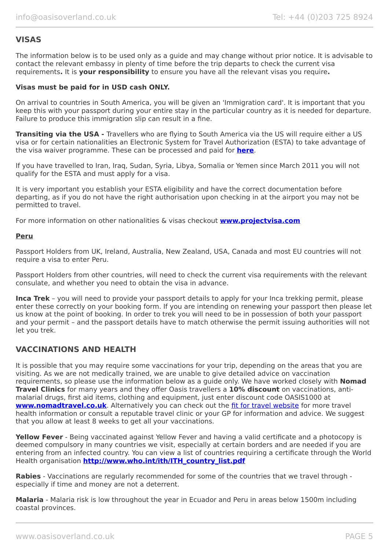# **VISAS**

The information below is to be used only as a guide and may change without prior notice. It is advisable to contact the relevant embassy in plenty of time before the trip departs to check the current visa requirements**.** It is **your responsibility** to ensure you have all the relevant visas you require**.**

#### **Visas must be paid for in USD cash ONLY.**

On arrival to countries in South America, you will be given an 'Immigration card'. It is important that you keep this with your passport during your entire stay in the particular country as it is needed for departure. Failure to produce this immigration slip can result in a fine.

**Transiting via the USA -** Travellers who are flying to South America via the US will require either a US visa or for certain nationalities an Electronic System for Travel Authorization (ESTA) to take advantage of the visa waiver programme. These can be processed and paid for **[here](https://esta.cbp.dhs.gov/esta/)**.

If you have travelled to Iran, Iraq, Sudan, Syria, Libya, Somalia or Yemen since March 2011 you will not qualify for the ESTA and must apply for a visa.

It is very important you establish your ESTA eligibility and have the correct documentation before departing, as if you do not have the right authorisation upon checking in at the airport you may not be permitted to travel.

For more information on other nationalities & visas checkout **[www.projectvisa.com](http://www.projectvisa.com/)**

#### **Peru**

Passport Holders from UK, Ireland, Australia, New Zealand, USA, Canada and most EU countries will not require a visa to enter Peru.

Passport Holders from other countries, will need to check the current visa requirements with the relevant consulate, and whether you need to obtain the visa in advance.

**Inca Trek** – you will need to provide your passport details to apply for your Inca trekking permit, please enter these correctly on your booking form. If you are intending on renewing your passport then please let us know at the point of booking. In order to trek you will need to be in possession of both your passport and your permit – and the passport details have to match otherwise the permit issuing authorities will not let you trek.

# **VACCINATIONS AND HEALTH**

It is possible that you may require some vaccinations for your trip, depending on the areas that you are visiting. As we are not medically trained, we are unable to give detailed advice on vaccination requirements, so please use the information below as a guide only. We have worked closely with **Nomad Travel Clinics** for many years and they offer Oasis travellers a **10% discount** on vaccinations, antimalarial drugs, first aid items, clothing and equipment, just enter discount code OASIS1000 at **[www.nomadtravel.co.uk](http://www.nomadtravel.co.uk/)**. Alternatively you can check out the [fit for travel website](http://www.fitfortravel.scot.nhs.uk/home.aspx) for more travel health information or consult a reputable travel clinic or your GP for information and advice. We suggest that you allow at least 8 weeks to get all your vaccinations.

**Yellow Fever** - Being vaccinated against Yellow Fever and having a valid certificate and a photocopy is deemed compulsory in many countries we visit, especially at certain borders and are needed if you are entering from an infected country. You can view a list of countries requiring a certificate through the World Health organisation **[http://www.who.int/ith/ITH\\_country\\_list.pdf](http://www.who.int/ith/ITH_country_list.pdf)** 

**Rabies** - Vaccinations are regularly recommended for some of the countries that we travel through especially if time and money are not a deterrent.

**Malaria** - Malaria risk is low throughout the year in Ecuador and Peru in areas below 1500m including coastal provinces.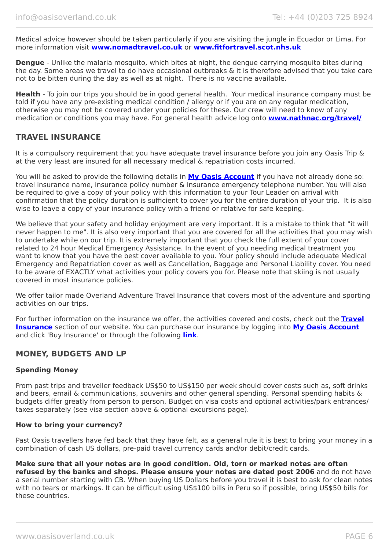Medical advice however should be taken particularly if you are visiting the jungle in Ecuador or Lima. For more information visit **[www.nomadtravel.co.uk](https://www.nomadtravel.co.uk/)** or **[www.fitfortravel.scot.nhs.uk](http://www.fitfortravel.scot.nhs.uk/)**

**Dengue** - Unlike the malaria mosquito, which bites at night, the dengue carrying mosquito bites during the day. Some areas we travel to do have occasional outbreaks & it is therefore advised that you take care not to be bitten during the day as well as at night. There is no vaccine available.

**Health** - To join our trips you should be in good general health. Your medical insurance company must be told if you have any pre-existing medical condition / allergy or if you are on any regular medication, otherwise you may not be covered under your policies for these. Our crew will need to know of any medication or conditions you may have. For general health advice log onto **[www.nathnac.org/travel/](http://www.nathnac.org/travel/index.htm)**

## **TRAVEL INSURANCE**

It is a compulsory requirement that you have adequate travel insurance before you join any Oasis Trip & at the very least are insured for all necessary medical & repatriation costs incurred.

You will be asked to provide the following details in **My [Oasis Account](https://oasisportal.eecsoftware.com/)** if you have not already done so: travel insurance name, insurance policy number & insurance emergency telephone number. You will also be required to give a copy of your policy with this information to your Tour Leader on arrival with confirmation that the policy duration is sufficient to cover you for the entire duration of your trip. It is also wise to leave a copy of your insurance policy with a friend or relative for safe keeping.

We believe that your safety and holiday enjoyment are very important. It is a mistake to think that "it will never happen to me". It is also very important that you are covered for all the activities that you may wish to undertake while on our trip. It is extremely important that you check the full extent of your cover related to 24 hour Medical Emergency Assistance. In the event of you needing medical treatment you want to know that you have the best cover available to you. Your policy should include adequate Medical Emergency and Repatriation cover as well as Cancellation, Baggage and Personal Liability cover. You need to be aware of EXACTLY what activities your policy covers you for. Please note that skiing is not usually covered in most insurance policies.

We offer tailor made Overland Adventure Travel Insurance that covers most of the adventure and sporting activities on our trips.

For further information on the insurance we offer, the activities covered and costs, check out the **[Travel](https://www.oasisoverland.co.uk/travel-insurance) [Insurance](https://www.oasisoverland.co.uk/travel-insurance)** section of our website. You can purchase our insurance by logging into [My Oasis Account](https://oasisportal.eecsoftware.com/) and click 'Buy Insurance' or through the following **[link](https://www.campbellirvinedirect.com/oasisoverland/)**.

## **MONEY, BUDGETS AND LP**

#### **Spending Money**

From past trips and traveller feedback US\$50 to US\$150 per week should cover costs such as, soft drinks and beers, email & communications, souvenirs and other general spending. Personal spending habits & budgets differ greatly from person to person. Budget on visa costs and optional activities/park entrances/ taxes separately (see visa section above & optional excursions page).

#### **How to bring your currency?**

Past Oasis travellers have fed back that they have felt, as a general rule it is best to bring your money in a combination of cash US dollars, pre-paid travel currency cards and/or debit/credit cards.

**Make sure that all your notes are in good condition. Old, torn or marked notes are often refused by the banks and shops. Please ensure your notes are dated post 2006** and do not have a serial number starting with CB. When buying US Dollars before you travel it is best to ask for clean notes with no tears or markings. It can be difficult using US\$100 bills in Peru so if possible, bring US\$50 bills for these countries.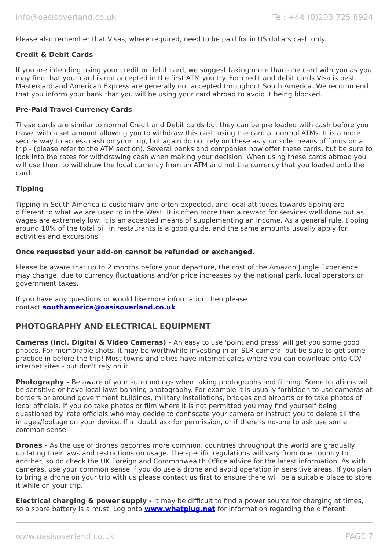Please also remember that Visas, where required, need to be paid for in US dollars cash only.

#### **Credit & Debit Cards**

If you are intending using your credit or debit card, we suggest taking more than one card with you as you may find that your card is not accepted in the first ATM you try. For credit and debit cards Visa is best. Mastercard and American Express are generally not accepted throughout South America. We recommend that you inform your bank that you will be using your card abroad to avoid it being blocked.

#### **Pre-Paid Travel Currency Cards**

These cards are similar to normal Credit and Debit cards but they can be pre loaded with cash before you travel with a set amount allowing you to withdraw this cash using the card at normal ATMs. It is a more secure way to access cash on your trip, but again do not rely on these as your sole means of funds on a trip - (please refer to the ATM section). Several banks and companies now offer these cards, but be sure to look into the rates for withdrawing cash when making your decision. When using these cards abroad you will use them to withdraw the local currency from an ATM and not the currency that you loaded onto the card.

## **Tipping**

Tipping in South America is customary and often expected, and local attitudes towards tipping are different to what we are used to in the West. It is often more than a reward for services well done but as wages are extremely low, it is an accepted means of supplementing an income. As a general rule, tipping around 10% of the total bill in restaurants is a good guide, and the same amounts usually apply for activities and excursions.

#### **Once requested your add-on cannot be refunded or exchanged.**

Please be aware that up to 2 months before your departure, the cost of the Amazon Jungle Experience may change, due to currency fluctuations and/or price increases by the national park, local operators or government taxes**.**

If you have any questions or would like more information then please contact **[southamerica@oasisoverland.co.uk](mailto:southamerica@oasisoverland.co.uk)**

# **PHOTOGRAPHY AND ELECTRICAL EQUIPMENT**

**Cameras (incl. Digital & Video Cameras) -** An easy to use 'point and press' will get you some good photos. For memorable shots, it may be worthwhile investing in an SLR camera, but be sure to get some practice in before the trip! Most towns and cities have internet cafes where you can download onto CD/ internet sites - but don't rely on it.

**Photography -** Be aware of your surroundings when taking photographs and filming. Some locations will be sensitive or have local laws banning photography. For example it is usually forbidden to use cameras at borders or around government buildings, military installations, bridges and airports or to take photos of local officials. If you do take photos or film where it is not permitted you may find yourself being questioned by irate officials who may decide to confiscate your camera or instruct you to delete all the images/footage on your device. If in doubt ask for permission, or if there is no-one to ask use some common sense.

**Drones -** As the use of drones becomes more common, countries throughout the world are gradually updating their laws and restrictions on usage. The specific regulations will vary from one country to another, so do check the UK Foreign and Commonwealth Office advice for the latest information. As with cameras, use your common sense if you do use a drone and avoid operation in sensitive areas. If you plan to bring a drone on your trip with us please contact us first to ensure there will be a suitable place to store it while on your trip.

**Electrical charging & power supply -** It may be difficult to find a power source for charging at times, so a spare battery is a must. Log onto **[www.whatplug.net](http://www.whatplug.net/)** for information regarding the different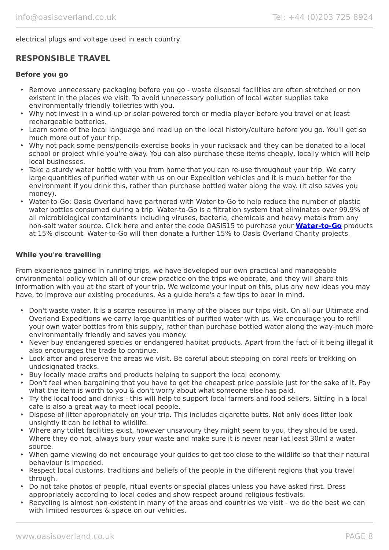electrical plugs and voltage used in each country.

# **RESPONSIBLE TRAVEL**

#### **Before you go**

- Remove unnecessary packaging before you go waste disposal facilities are often stretched or non existent in the places we visit. To avoid unnecessary pollution of local water supplies take environmentally friendly toiletries with you.
- Why not invest in a wind-up or solar-powered torch or media player before you travel or at least rechargeable batteries.
- Learn some of the local language and read up on the local history/culture before you go. You'll get so much more out of your trip.
- Why not pack some pens/pencils exercise books in your rucksack and they can be donated to a local school or project while you're away. You can also purchase these items cheaply, locally which will help local businesses.
- Take a sturdy water bottle with you from home that you can re-use throughout your trip. We carry large quantities of purified water with us on our Expedition vehicles and it is much better for the environment if you drink this, rather than purchase bottled water along the way. (It also saves you money).
- Water-to-Go: Oasis Overland have partnered with Water-to-Go to help reduce the number of plastic water bottles consumed during a trip. Water-to-Go is a filtration system that eliminates over 99.9% of all microbiological contaminants including viruses, bacteria, chemicals and heavy metals from any non-salt water source. Click here and enter the code OASIS15 to purchase your **[Water-to-Go](https://watertogo.eu/partnerships/oasisoverland/)** products at 15% discount. Water-to-Go will then donate a further 15% to Oasis Overland Charity projects.

## **While you're travelling**

From experience gained in running trips, we have developed our own practical and manageable environmental policy which all of our crew practice on the trips we operate, and they will share this information with you at the start of your trip. We welcome your input on this, plus any new ideas you may have, to improve our existing procedures. As a guide here's a few tips to bear in mind.

- Don't waste water. It is a scarce resource in many of the places our trips visit. On all our Ultimate and Overland Expeditions we carry large quantities of purified water with us. We encourage you to refill your own water bottles from this supply, rather than purchase bottled water along the way-much more environmentally friendly and saves you money.
- Never buy endangered species or endangered habitat products. Apart from the fact of it being illegal it also encourages the trade to continue.
- Look after and preserve the areas we visit. Be careful about stepping on coral reefs or trekking on undesignated tracks.
- Buy locally made crafts and products helping to support the local economy.
- Don't feel when bargaining that you have to get the cheapest price possible just for the sake of it. Pay what the item is worth to you & don't worry about what someone else has paid.
- Try the local food and drinks this will help to support local farmers and food sellers. Sitting in a local cafe is also a great way to meet local people.
- Dispose of litter appropriately on your trip. This includes cigarette butts. Not only does litter look unsightly it can be lethal to wildlife.
- Where any toilet facilities exist, however unsavoury they might seem to you, they should be used. Where they do not, always bury your waste and make sure it is never near (at least 30m) a water source.
- When game viewing do not encourage your quides to get too close to the wildlife so that their natural behaviour is impeded.
- Respect local customs, traditions and beliefs of the people in the different regions that you travel through.
- Do not take photos of people, ritual events or special places unless you have asked first. Dress appropriately according to local codes and show respect around religious festivals.
- Recycling is almost non-existent in many of the areas and countries we visit we do the best we can with limited resources & space on our vehicles.